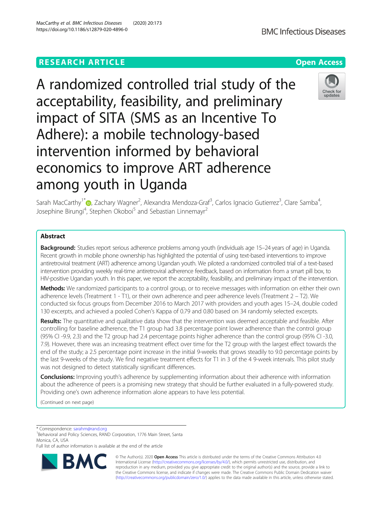# **RESEARCH ARTICLE Example 2018 12:30 The Contract of Contract ACCESS**

A randomized controlled trial study of the acceptability, feasibility, and preliminary impact of SITA (SMS as an Incentive To Adhere): a mobile technology-based intervention informed by behavioral economics to improve ART adherence among youth in Uganda



Sarah MacCarthy<sup>1\*</sup>®, Zachary Wagner<sup>2</sup>, Alexandra Mendoza-Graf<sup>3</sup>, Carlos Ignacio Gutierrez<sup>3</sup>, Clare Samba<sup>4</sup> , Josephine Birungi<sup>4</sup>, Stephen Okoboi<sup>5</sup> and Sebastian Linnemayr<sup>2</sup>

# Abstract

Background: Studies report serious adherence problems among youth (individuals age 15–24 years of age) in Uganda. Recent growth in mobile phone ownership has highlighted the potential of using text-based interventions to improve antiretroviral treatment (ART) adherence among Ugandan youth. We piloted a randomized controlled trial of a text-based intervention providing weekly real-time antiretroviral adherence feedback, based on information from a smart pill box, to HIV-positive Ugandan youth. In this paper, we report the acceptability, feasibility, and preliminary impact of the intervention.

Methods: We randomized participants to a control group, or to receive messages with information on either their own adherence levels (Treatment 1 - T1), or their own adherence and peer adherence levels (Treatment 2 – T2). We conducted six focus groups from December 2016 to March 2017 with providers and youth ages 15–24, double coded 130 excerpts, and achieved a pooled Cohen's Kappa of 0.79 and 0.80 based on 34 randomly selected excerpts.

Results: The quantitative and qualitative data show that the intervention was deemed acceptable and feasible. After controlling for baseline adherence, the T1 group had 3.8 percentage point lower adherence than the control group (95% CI -9.9, 2.3) and the T2 group had 2.4 percentage points higher adherence than the control group (95% CI -3.0, 7.9). However, there was an increasing treatment effect over time for the T2 group with the largest effect towards the end of the study; a 2.5 percentage point increase in the initial 9-weeks that grows steadily to 9.0 percentage points by the last 9-weeks of the study. We find negative treatment effects for T1 in 3 of the 4 9-week intervals. This pilot study was not designed to detect statistically significant differences.

**Conclusions:** Improving youth's adherence by supplementing information about their adherence with information about the adherence of peers is a promising new strategy that should be further evaluated in a fully-powered study. Providing one's own adherence information alone appears to have less potential.

(Continued on next page)

\* Correspondence: [sarahm@rand.org](mailto:sarahm@rand.org) <sup>1</sup>

Full list of author information is available at the end of the article



© The Author(s). 2020 **Open Access** This article is distributed under the terms of the Creative Commons Attribution 4.0 International License [\(http://creativecommons.org/licenses/by/4.0/](http://creativecommons.org/licenses/by/4.0/)), which permits unrestricted use, distribution, and reproduction in any medium, provided you give appropriate credit to the original author(s) and the source, provide a link to the Creative Commons license, and indicate if changes were made. The Creative Commons Public Domain Dedication waiver [\(http://creativecommons.org/publicdomain/zero/1.0/](http://creativecommons.org/publicdomain/zero/1.0/)) applies to the data made available in this article, unless otherwise stated.

<sup>&</sup>lt;sup>1</sup>Behavioral and Policy Sciences, RAND Corporation, 1776 Main Street, Santa Monica, CA, USA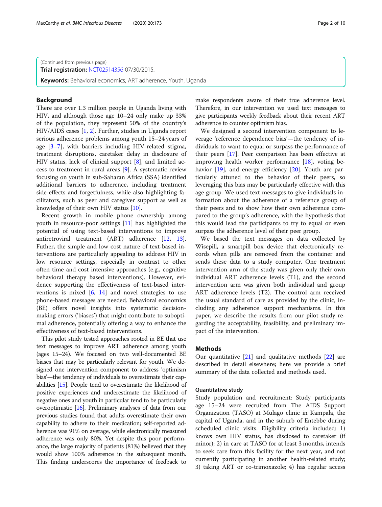(Continued from previous page) **Trial registration: [NCT02514356](https://clinicaltrials.gov/ct2/show/NCT02514356) 07/30/2015.** 

Keywords: Behavioral economics, ART adherence, Youth, Uganda

# Background

There are over 1.3 million people in Uganda living with HIV, and although those age 10–24 only make up 33% of the population, they represent 50% of the country's HIV/AIDS cases [\[1,](#page-8-0) [2\]](#page-8-0). Further, studies in Uganda report serious adherence problems among youth 15–24 years of age  $[3-7]$  $[3-7]$  $[3-7]$  $[3-7]$  $[3-7]$ , with barriers including HIV-related stigma, treatment disruptions, caretaker delay in disclosure of HIV status, lack of clinical support [\[8](#page-9-0)], and limited access to treatment in rural areas [\[9\]](#page-9-0). A systematic review focusing on youth in sub-Saharan Africa (SSA) identified additional barriers to adherence, including treatment side-effects and forgetfulness, while also highlighting facilitators, such as peer and caregiver support as well as knowledge of their own HIV status [[10\]](#page-9-0).

Recent growth in mobile phone ownership among youth in resource-poor settings [\[11](#page-9-0)] has highlighted the potential of using text-based interventions to improve antiretroviral treatment (ART) adherence [[12,](#page-9-0) [13](#page-9-0)]. Futher, the simple and low cost nature of text-based interventions are particularly appealing to address HIV in low resource settings, especially in contrast to other often time and cost intensive approaches (e.g., cognitive behavioral therapy based interventions). However, evidence supporting the effectiveness of text-based interventions is mixed [[6,](#page-9-0) [14\]](#page-9-0) and novel strategies to use phone-based messages are needed. Behavioral economics (BE) offers novel insights into systematic decisionmaking errors ('biases') that might contribute to suboptimal adherence, potentially offering a way to enhance the effectiveness of text-based interventions.

This pilot study tested approaches rooted in BE that use text messages to improve ART adherence among youth (ages 15–24). We focused on two well-documented BE biases that may be particularly relevant for youth. We designed one intervention component to address 'optimism bias'—the tendency of individuals to overestimate their capabilities [[15\]](#page-9-0). People tend to overestimate the likelihood of positive experiences and underestimate the likelihood of negative ones and youth in particular tend to be particularly overoptimistic [\[16\]](#page-9-0). Preliminary analyses of data from our previous studies found that adults overestimate their own capability to adhere to their medication; self-reported adherence was 91% on average, while electronically measured adherence was only 80%. Yet despite this poor performance, the large majority of patients (81%) believed that they would show 100% adherence in the subsequent month. This finding underscores the importance of feedback to

make respondents aware of their true adherence level. Therefore, in our intervention we used text messages to give participants weekly feedback about their recent ART adherence to counter optimism bias.

We designed a second intervention component to leverage 'reference dependence bias'—the tendency of individuals to want to equal or surpass the performance of their peers [\[17](#page-9-0)]. Peer comparison has been effective at improving health worker performance [\[18\]](#page-9-0), voting be-havior [\[19\]](#page-9-0), and energy efficiency [\[20\]](#page-9-0). Youth are particularly attuned to the behavior of their peers, so leveraging this bias may be particularly effective with this age group. We used text messages to give individuals information about the adherence of a reference group of their peers and to show how their own adherence compared to the group's adherence, with the hypothesis that this would lead the participants to try to equal or even surpass the adherence level of their peer group.

We based the text messages on data collected by Wisepill, a smartpill box device that electronically records when pills are removed from the container and sends these data to a study computer. One treatment intervention arm of the study was given only their own individual ART adherence levels (T1), and the second intervention arm was given both individual and group ART adherence levels (T2). The control arm received the usual standard of care as provided by the clinic, including any adherence support mechanisms. In this paper, we describe the results from our pilot study regarding the acceptability, feasibility, and preliminary impact of the intervention.

# **Methods**

Our quantitative [[21\]](#page-9-0) and qualitative methods [[22](#page-9-0)] are described in detail elsewhere; here we provide a brief summary of the data collected and methods used.

#### Quantitative study

Study population and recruitment: Study participants age 15–24 were recruited from The AIDS Support Organization (TASO) at Mulago clinic in Kampala, the capital of Uganda, and in the suburb of Entebbe during scheduled clinic visits. Eligibility criteria included: 1) knows own HIV status, has disclosed to caretaker (if minor); 2) in care at TASO for at least 3 months, intends to seek care from this facility for the next year, and not currently participating in another health-related study; 3) taking ART or co-trimoxazole; 4) has regular access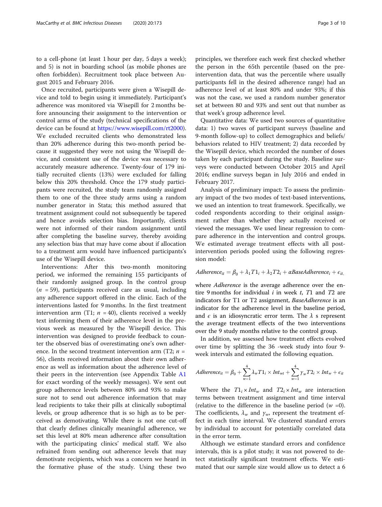to a cell-phone (at least 1 hour per day, 5 days a week); and 5) is not in boarding school (as mobile phones are often forbidden). Recruitment took place between August 2015 and February 2016.

Once recruited, participants were given a Wisepill device and told to begin using it immediately. Participant's adherence was monitored via Wisepill for 2 months before announcing their assignment to the intervention or control arms of the study (technical specifications of the device can be found at <https://www.wisepill.com/rt2000>). We excluded recruited clients who demonstrated less than 20% adherence during this two-month period because it suggested they were not using the Wisepill device, and consistent use of the device was necessary to accurately measure adherence. Twenty-four of 179 initially recruited clients (13%) were excluded for falling below this 20% threshold. Once the 179 study participants were recruited, the study team randomly assigned them to one of the three study arms using a random number generator in Stata; this method assured that treatment assignment could not subsequently be tapered and hence avoids selection bias. Importantly, clients were not informed of their random assignment until after completing the baseline survey, thereby avoiding any selection bias that may have come about if allocation to a treatment arm would have influenced participants's use of the Wisepill device.

Interventions: After this two-month monitoring period, we informed the remaining 155 participants of their randomly assigned group. In the control group  $(n = 59)$ , participants received care as usual, including any adherence support offered in the clinic. Each of the interventions lasted for 9 months. In the first treatment intervention arm (T1;  $n = 40$ ), clients received a weekly text informing them of their adherence level in the previous week as measured by the Wisepill device. This intervention was designed to provide feedback to counter the observed bias of overestimating one's own adherence. In the second treatment intervention arm (T2;  $n =$ 56), clients received information about their own adherence as well as information about the adherence level of their peers in the intervention (see Appendix Table [A1](#page-8-0) for exact wording of the weekly messages). We sent out group adherence levels between 80% and 93% to make sure not to send out adherence information that may lead recipients to take their pills at clinically suboptimal levels, or group adherence that is so high as to be perceived as demotivating. While there is not one cut-off that clearly defines clinically meaningful adherence, we set this level at 80% mean adherence after consultation with the participating clinics' medical staff. We also refrained from sending out adherence levels that may demotivate recipients, which was a concern we heard in the formative phase of the study. Using these two principles, we therefore each week first checked whether the person in the 65th percentile (based on the preintervention data, that was the percentile where usually participants fell in the desired adherence range) had an adherence level of at least 80% and under 93%; if this was not the case, we used a random number generator set at between 80 and 93% and sent out that number as that week's group adherence level.

Quantitative data: We used two sources of quantitative data: 1) two waves of participant surveys (baseline and 9-month follow-up) to collect demographics and beliefs/ behaviors related to HIV treatment; 2) data recorded by the Wisepill device, which recorded the number of doses taken by each participant during the study. Baseline surveys were conducted between October 2015 and April 2016; endline surveys began in July 2016 and ended in February 2017.

Analysis of preliminary impact: To assess the preliminary impact of the two modes of text-based interventions, we used an intention to treat framework. Specifically, we coded respondents according to their original assignment rather than whether they actually received or viewed the messages. We used linear regression to compare adherence in the intervention and control groups. We estimated average treatment effects with all postintervention periods pooled using the following regression model:

# Adherence<sub>it</sub> =  $\beta_0 + \lambda_1 T1_i + \lambda_2 T2_i + \alpha$ BaseAdherence<sub>i</sub> +  $\epsilon_{it}$ ;

where *Adherence* is the average adherence over the entire 9 months for individual  $i$  in week  $t$ ,  $T1$  and  $T2$  are indicators for T1 or T2 assignment, BaseAdherence is an indicator for the adherence level in the baseline period, and  $\epsilon$  is an idiosyncratic error term. The  $\lambda$  s represent the average treatment effects of the two interventions over the 9 study months relative to the control group.

In addition, we assessed how treatment effects evolved over time by splitting the 36 -week study into four 9 week intervals and estimated the following equation.

$$
Adherence_{it} = \beta_0 + \sum_{w=1}^{4} \lambda_w T1_i \times Int_{wt} + \sum_{w=1}^{4} \gamma_w T2_i \times Int_w + \epsilon_{it}
$$

Where the  $T1_i \times Int_w$  and  $T2_i \times Int_w$  are interaction terms between treatment assignment and time interval (relative to the difference in the baseline period  $(w = 0)$ . The coefficients,  $\lambda_w$  and  $\gamma_w$ , represent the treatment effect in each time interval. We clustered standard errors by individual to account for potentially correlated data in the error term.

Although we estimate standard errors and confidence intervals, this is a pilot study; it was not powered to detect statistically significant treatment effects. We estimated that our sample size would allow us to detect a 6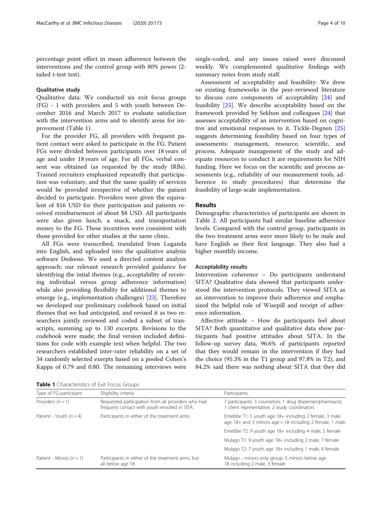percentage point effect in mean adherence between the interventions and the control group with 80% power (2 tailed t-test test).

# Qualitative study

Qualitative data: We conducted six exit focus groups (FG) - 1 with providers and 5 with youth between December 2016 and March 2017 to evaluate satisfaction with the intervention arms and to identify areas for improvement (Table 1).

For the provider FG, all providers with frequent patient contact were asked to participate in the FG. Patient FGs were divided between participants over 18 years of age and under 18 years of age. For all FGs, verbal consent was obtained (as requested by the study IRBs). Trained recruiters emphasized repeatedly that participation was voluntary, and that the same quality of services would be provided irrespective of whether the patient decided to participate. Providers were given the equivalent of \$16 USD for their participation and patients received reimbursement of about \$8 USD. All participants were also given lunch, a snack, and transportation money to the FG. These incentives were consistent with those provided for other studies at the same clinic.

All FGs were transcribed, translated from Luganda into English, and uploaded into the qualitative analysis software Dedoose. We used a directed content analysis approach: our relevant research provided guidance for identifying the intial themes (e.g., acceptability of receiving individual versus group adherence information) while also providing flexibility for additional themes to emerge (e.g., implementation challenges) [[23](#page-9-0)]. Therefore we developed our preliminary codebook based on initial themes that we had anticipated, and revised it as two researchers jointly reviewed and coded a subset of transcripts, summing up to 130 excerpts. Revisions to the codebook were made; the final version included definitions for code with example text when helpful. The two researchers established inter-rater reliability on a set of 34 randomly selected exerpts based on a pooled Cohen's Kappa of 0.79 and 0.80. The remaining interviews were single-coded, and any issues raised were discussed weekly. We complemented qualitative findings with summary notes from study staff.

Assessment of acceptability and feasibility: We drew on existing frameworks in the peer-reviewed literature to discuss core components of acceptability [[24\]](#page-9-0) and feasibility [[25\]](#page-9-0). We describe acceptability based on the framework provided by Sekhon and colleagues [[24\]](#page-9-0) that assesses acceptability of an intervention based on cognitive and emotional responses to it. Tickle-Degnen [[25](#page-9-0)] suggests determining feasibility based on four types of assessments: management, resource, scientific, and process. Adequate management of the study and adequate resources to conduct it are requirements for NIH funding. Here we focus on the scientific and process assessments (e.g., reliability of our measurement tools, adherence to study procedures) that determine the feasibility of large-scale implementation.

## Results

Demographic characteristics of participants are shown in Table [2](#page-4-0). All participants had similar baseline adherence levels. Compared with the control group, participants in the two treatment arms were more likely to be male and have English as their first language. They also had a higher monthly income.

# Acceptability results

Intervention coherence – Do participants understand SITA? Qualitative data showed that participants understood the intervention protocols. They viewed SITA as an intervention to improve their adherence and emphasized the helpful role of Wisepill and receipt of adherence information.

Affective attitude – How do participants feel about SITA? Both quantitative and qualitative data show partiicpants had positive attitudes about SITA. In the follow-up survey data, 96.6% of participants reported that they would remain in the intervention if they had the choice (95.3% in the T1 group and 97.8% in T2), and 84.2% said there was nothing about SITA that they did

Table 1 Characteristics of Exit Focus Groups

| <b>Lable</b> I Characteristics Of EAR FOCUS CIOUDS |                                                                                                     |                                                                                                                    |  |  |
|----------------------------------------------------|-----------------------------------------------------------------------------------------------------|--------------------------------------------------------------------------------------------------------------------|--|--|
| Type of FG participant                             | Eligibility criteria                                                                                | Participants                                                                                                       |  |  |
| Providers $(n = 1)$                                | Requested participation from all providers who had<br>frequent contact with youth enrolled in SITA. | 7 participants: 3 counselors, 1 drug dispenser/pharmacist,<br>client representative, 2 study coordinators          |  |  |
| Patient - Youth $(n = 4)$                          | Participants in either of the treatment arms                                                        | Entebbe T1: 5 youth age 18+ including 2 female, 3 male<br>age 18+ and 3 minors age < 18 including 2 female, 1 male |  |  |
|                                                    |                                                                                                     | Entebbe T2: 9 youth age 18+ including 4 male, 5 female                                                             |  |  |
|                                                    |                                                                                                     | Mulago T1: 9 youth age 18+ including 2 male, 7 female                                                              |  |  |
|                                                    |                                                                                                     | Mulago T2: 7 youth age 18+ including 1 male, 6 female                                                              |  |  |
| Patient - Minors $(n = 1)$                         | Participants in either of the treatment arms, but<br>all below age 18                               | Mulago - minors only group: 5 minors below age<br>18 including 2 male, 3 female                                    |  |  |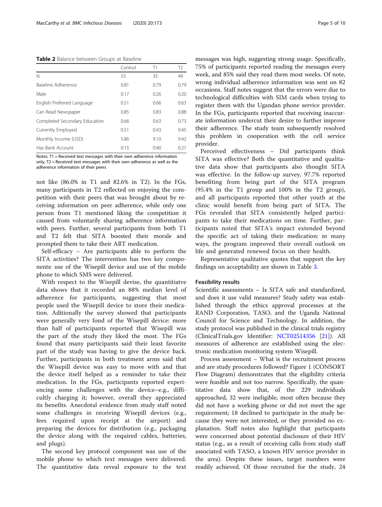<span id="page-4-0"></span>Table 2 Balance between Groups at Baseline

|                               | Control | T1   | T <sub>2</sub> |
|-------------------------------|---------|------|----------------|
| N                             | 53      | 35   | 49             |
| Baseline Adherence            | 0.81    | 0.79 | 0.79           |
| Male                          | 0.17    | 0.26 | 0.20           |
| English Preferred Language    | 0.51    | 0.66 | 0.63           |
| Can Read Newspaper            | 0.85    | 0.83 | 0.88           |
| Completed Secondary Education | 0.66    | 0.63 | 0.73           |
| Currently Employed            | 0.51    | 043  | 0.45           |
| Monthly Income (USD)          | 5.86    | 9.10 | 9.42           |
| Has Bank Account              | 0.15    | 0.40 | በ 27           |

Notes: T1 = Received text messages with their own adherence information only, T2 = Received text messages with their own adherence as well as the adherence information of their peers

not like (86.0% in T1 and 82.6% in T2). In the FGs, many participants in T2 reflected on enjoying the competition with their peers that was brought about by receiving information on peer adherence, while only one person from T1 mentioned liking the competition it caused from voluntarily sharing adherence information with peers. Further, several participants from both T1 and T2 felt that SITA boosted their morale and prompted them to take their ART medication.

Self-efficacy – Are participants able to perform the SITA activities? The intervention has two key components: use of the Wisepill device and use of the mobile phone to which SMS were delivered.

With respect to the Wisepill devise, the quantitiatve data shows that it recorded an 88% median level of adherence for participants, suggesting that most people used the Wisepill device to store their medication. Aditionally the survey showed that participants were generally very fond of the Wisepill device: more than half of participants reported that Wisepill was the part of the study they liked the most. The FGs found that many participants said their least favorite part of the study was having to give the device back. Further, participants in both treatment arms said that the Wisepill device was easy to move with and that the device itself helped as a reminder to take their medication. In the FGs, participants reported experiencing some challenges with the device–e.g., difficultly charging it; however, overall they appreciated its benefits. Anecdotal evidence from study staff noted some challenges in receiving Wisepill devices (e.g., fees required upon receipt at the airport) and preparing the devices for distribution (e.g., packaging the device along with the required cables, batteries, and plugs).

The second key protocol component was use of the mobile phone to which text messages were delivered. The quantitative data reveal exposure to the text messages was high, suggesting strong usage. Specifically, 75% of participants reported reading the messages every week, and 85% said they read them most weeks. Of note, wrong individual adherence information was sent on 82 occasions. Staff notes suggest that the errors were due to technological difficulties with SIM cards when trying to register them with the Ugandan phone service provider. In the FGs, participants reported that receiving inaccurate information undercut their desire to further improve their adherence. The study team subsequently resolved this problem in cooperation with the cell service provider.

Perceived effectiveness – Did participants think SITA was effective? Both the quantitative and qualitative data show that participants also thought SITA was effective. In the follow-up survey, 97.7% reported benefiting from being part of the SITA program (95.4% in the T1 group and 100% in the T2 group), and all participants reported that other youth at the clinic would benefit from being part of SITA. The FGs revealed that SITA consistently helped participants to take their medications on time. Further, participants noted that SITA's impact extended beyond the specific act of taking their medication: in many ways, the program improved their overall outlook on life and generated renewed focus on their health.

Representative qualitative quotes that support the key findings on acceptability are shown in Table [3.](#page-5-0)

### Feasibility results

Scientific assessments – Is SITA safe and standardized, and does it use valid measures? Study safety was established through the ethics approval processes at the RAND Corporation, TASO, and the Uganda National Council for Science and Technology. In addition, the study protocol was published in the clinical trials registry (ClinicalTrials.gov Identifier: [NCT02514356](https://clinicaltrials.gov/ct2/show/NCT02514356) [[21](#page-9-0)]). All measures of adherence are established using the electronic medication monitoring system Wisepill.

Process assessment – What is the recruitment process and are study procedures followed? Figure [1](#page-6-0) (CONSORT Flow Diagram) demonstrates that the eligibility criteria were feasible and not too narrow. Specifically, the quantitative data show that, of the 229 individuals approached, 32 were ineligible, most often because they did not have a working phone or did not meet the age requirement; 18 declined to participate in the study because they were not interested, or they provided no explanation. Staff notes also highlight that participants were concerned about potential disclosure of their HIV status (e.g., as a result of receiving calls from study staff associated with TASO, a known HIV service provider in the area). Despite these issues, target numbers were readily achieved. Of those recruited for the study, 24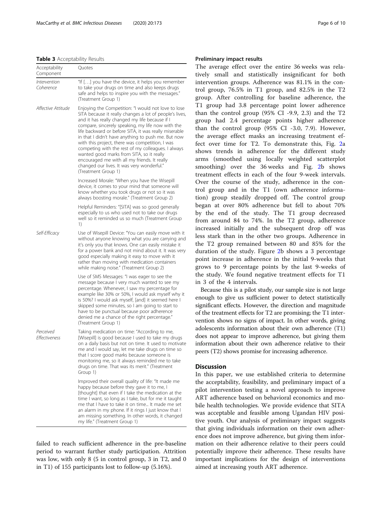#### <span id="page-5-0"></span>Table 3 Acceptability Results

| Acceptability<br>Component | Quotes                                                                                                                                                                                                                                                                                                                                                                                                                                                                                                                                                                                                          |
|----------------------------|-----------------------------------------------------------------------------------------------------------------------------------------------------------------------------------------------------------------------------------------------------------------------------------------------------------------------------------------------------------------------------------------------------------------------------------------------------------------------------------------------------------------------------------------------------------------------------------------------------------------|
| Intervention<br>Coherence  | "If [] you have the device, it helps you remember<br>to take your drugs on time and also keeps drugs<br>safe and helps to inspire you with the messages."<br>(Treatment Group 1)                                                                                                                                                                                                                                                                                                                                                                                                                                |
| Affective Attitude         | Enjoying the Competition: "I would not love to lose<br>SITA because it really changes a lot of people's lives,<br>and it has really changed my life because if I<br>compare, sincerely speaking, my life now with the<br>life backward or before SITA, it was really miserable<br>in that I didn't have anything to push me. But now<br>with this project, there was competition, I was<br>competing with the rest of my colleagues. I always<br>wanted good marks from SITA, so it really<br>encouraged me with all my friends. It really<br>changed our lives. It was very wonderful."<br>(Treatment Group 1) |
|                            | Increased Morale: "When you have the Wisepill<br>device, it comes to your mind that someone will<br>know whether you took drugs or not so it was<br>always boosting morale." (Treatment Group 2)                                                                                                                                                                                                                                                                                                                                                                                                                |
|                            | Helpful Reminders: "[SITA] was so good generally<br>especially to us who used not to take our drugs<br>well so it reminded us so much (Treatment Group<br>1)                                                                                                                                                                                                                                                                                                                                                                                                                                                    |
| Self-Efficacy              | Use of Wisepill Device: "You can easily move with it<br>without anyone knowing what you are carrying and<br>it's only you that knows. One can easily mistake it<br>for a power bank and not mind about it. It was very<br>good especially making it easy to move with it<br>rather than moving with medication containers<br>while making noise." (Treatment Group 2)                                                                                                                                                                                                                                           |
|                            | Use of SMS Messages: "I was eager to see the<br>message because I very much wanted to see my<br>percentage. Whenever, I saw my percentage for<br>example like 30% or 50%, I would ask myself why it<br>is 50%? I would ask myself, [and] it seemed here I<br>skipped some minutes, so I am going to start to<br>have to be punctual because poor adherence<br>denied me a chance of the right percentage."<br>(Treatment Group 1)                                                                                                                                                                               |
| Perceived<br>Effectiveness | Taking medication on time: "According to me,<br>[Wisepill] is good because I used to take my drugs<br>on a daily basis but not on time. It used to motivate<br>me and I would say, let me take drugs on time so<br>that I score good marks because someone is<br>monitoring me, so it always reminded me to take<br>drugs on time. That was its merit." (Treatment<br>Group 1)                                                                                                                                                                                                                                  |
|                            | Improved their overall quality of life: "It made me<br>happy because before they gave it to me, I<br>[thought] that even if I take the medication at the<br>time I want, so long as I take, but for me it taught<br>me that I have to take it on time It made me set<br>an alarm in my phone. If it rings I just know that I<br>am missing something. In other words, it changed<br>my life." (Treatment Group 1)                                                                                                                                                                                               |

failed to reach sufficient adherence in the pre-baseline period to warrant further study participation. Attrition was low, with only 8 (5 in control group, 3 in T2, and 0 in T1) of 155 participants lost to follow-up (5.16%).

# Preliminary impact results

The average effect over the entire 36 weeks was relatively small and statistically insignificant for both intervention groups. Adherence was 81.1% in the control group, 76.5% in T1 group, and 82.5% in the T2 group. After controlling for baseline adherence, the T1 group had 3.8 percentage point lower adherence than the control group (95% CI -9.9, 2.3) and the T2 group had 2.4 percentage points higher adherence than the control group (95% CI -3.0, 7.9). However, the average effect masks an increasing treatment effect over time for T2. To demonstrate this, Fig. [2](#page-7-0)a shows trends in adherence for the different study arms (smoothed using locally weighted scatterplot smoothing) over the 36 weeks and Fig. [2b](#page-7-0) shows treatment effects in each of the four 9-week intervals. Over the course of the study, adherence in the control group and in the T1 (own adherence information) group steadily dropped off. The control group began at over 80% adherence but fell to about 70% by the end of the study. The T1 group decreased from around 84 to 74%. In the T2 group, adherence increased initially and the subsequent drop off was less stark than in the other two groups. Adherence in the T2 group remained between 80 and 85% for the duration of the study. Figure [2b](#page-7-0) shows a 3 percentage point increase in adherence in the initial 9-weeks that grows to 9 percentage points by the last 9-weeks of the study. We found negative treatment effects for T1 in 3 of the 4 intervals.

Because this is a pilot study, our sample size is not large enough to give us sufficient power to detect statistically significant effects. However, the direction and magnitude of the treatment effects for T2 are promising; the T1 intervention shows no signs of impact. In other words, giving adolescents information about their own adherence (T1) does not appear to improve adherence, but giving them information about their own adherence relative to their peers (T2) shows promise for increasing adherence.

# **Discussion**

In this paper, we use established criteria to determine the acceptability, feasibility, and preliminary impact of a pilot intervention testing a novel approach to improve ART adherence based on behavioral economics and mobile health technologies. We provide evidence that SITA was acceptable and feasible among Ugandan HIV positive youth. Our analysis of preliminary impact suggests that giving individuals information on their own adherence does not improve adherence, but giving them information on their adherence relative to their peers could potentially improve their adherence. These results have important implications for the design of interventions aimed at increasing youth ART adherence.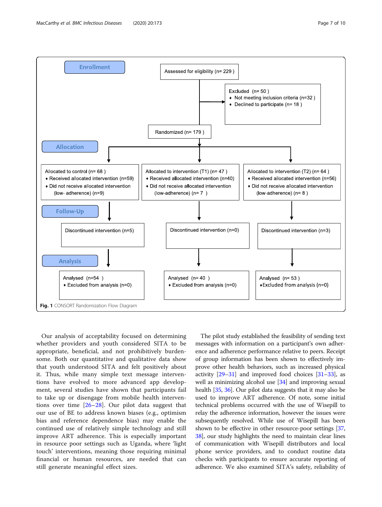<span id="page-6-0"></span>

Our analysis of acceptability focused on determining whether providers and youth considered SITA to be appropriate, beneficial, and not prohibitively burdensome. Both our quantitative and qualitative data show that youth understood SITA and felt positively about it. Thus, while many simple text message interventions have evolved to more advanced app development, several studies have shown that participants fail to take up or disengage from mobile health interventions over time  $[26-28]$  $[26-28]$  $[26-28]$  $[26-28]$ . Our pilot data suggest that our use of BE to address known biases (e.g., optimism bias and reference dependence bias) may enable the continued use of relatively simple technology and still improve ART adherence. This is especially important in resource poor settings such as Uganda, where 'light touch' interventions, meaning those requiring minimal financial or human resources, are needed that can still generate meaningful effect sizes.

The pilot study established the feasibility of sending text messages with information on a participant's own adherence and adherence performance relative to peers. Receipt of group information has been shown to effectively improve other health behaviors, such as increased physical activity  $[29-31]$  $[29-31]$  $[29-31]$  $[29-31]$  $[29-31]$  and improved food choices  $[31-33]$  $[31-33]$ , as well as minimizing alcohol use [[34](#page-9-0)] and improving sexual health [\[35](#page-9-0), [36\]](#page-9-0). Our pilot data suggests that it may also be used to improve ART adherence. Of note, some initial technical problems occurred with the use of Wisepill to relay the adherence information, however the issues were subsequently resolved. While use of Wisepill has been shown to be effective in other resource-poor settings [[37](#page-9-0), [38](#page-9-0)], our study highlights the need to maintain clear lines of communication with Wisepill distributors and local phone service providers, and to conduct routine data checks with participants to ensure accurate reporting of adherence. We also examined SITA's safety, reliability of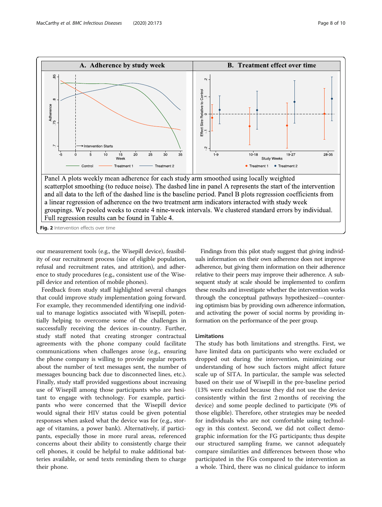<span id="page-7-0"></span>

our measurement tools (e.g., the Wisepill device), feasibility of our recruitment process (size of eligible population, refusal and recruitment rates, and attrition), and adherence to study procedures (e.g., consistent use of the Wisepill device and retention of mobile phones).

Feedback from study staff highlighted several changes that could improve study implementation going forward. For example, they recommended identifying one individual to manage logistics associated with Wisepill, potentially helping to overcome some of the challenges in successfully receiving the devices in-country. Further, study staff noted that creating stronger contractual agreements with the phone company could facilitate communications when challenges arose (e.g., ensuring the phone company is willing to provide regular reports about the number of text messages sent, the number of messages bouncing back due to disconnected lines, etc.). Finally, study staff provided suggestions about increasing use of Wisepill among those participants who are hesitant to engage with technology. For example, participants who were concerned that the Wisepill device would signal their HIV status could be given potential responses when asked what the device was for (e.g., storage of vitamins, a power bank). Alternatively, if participants, especially those in more rural areas, referenced concerns about their ability to consistently charge their cell phones, it could be helpful to make additional batteries available, or send texts reminding them to charge their phone.

Findings from this pilot study suggest that giving individuals information on their own adherence does not improve adherence, but giving them information on their adherence relative to their peers may improve their adherence. A subsequent study at scale should be implemented to confirm these results and investigate whether the intervention works through the conceptual pathways hypothesized—countering optimism bias by providing own adherence information, and activating the power of social norms by providing information on the performance of the peer group.

### Limitations

The study has both limitations and strengths. First, we have limited data on participants who were excluded or dropped out during the intervention, minimizing our understanding of how such factors might affect future scale up of SITA. In particular, the sample was selected based on their use of Wisepill in the pre-baseline period (13% were excluded because they did not use the device consistently within the first 2 months of receiving the device) and some people declined to participate (9% of those eligible). Therefore, other strategies may be needed for individuals who are not comfortable using technology in this context. Second, we did not collect demographic information for the FG participants; thus despite our structured sampling frame, we cannot adequately compare similarities and differences between those who participated in the FGs compared to the intervention as a whole. Third, there was no clinical guidance to inform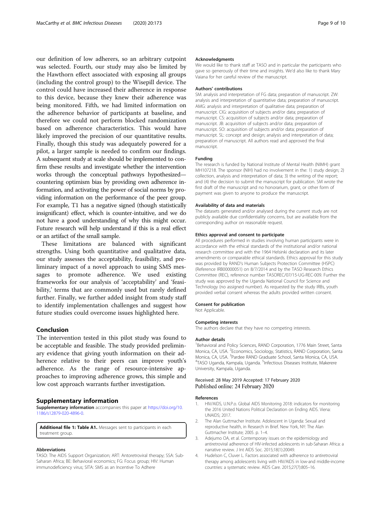<span id="page-8-0"></span>our definition of low adherers, so an arbitrary cutpoint was selected. Fourth, our study may also be limited by the Hawthorn effect associated with exposing all groups (including the control group) to the Wisepill device. The control could have increased their adherence in response to this device, because they knew their adherence was being monitored. Fifth, we had limited information on the adherence behavior of participants at baseline, and therefore we could not perform blocked randomization based on adherence characteristics. This would have likely improved the precision of our quantitative results. Finally, though this study was adequately powered for a pilot, a larger sample is needed to confirm our findings. A subsequent study at scale should be implemented to confirm these results and investigate whether the intervention works through the conceptual pathways hypothesized countering optimism bias by providing own adherence information, and activating the power of social norms by providing information on the performance of the peer group. For example, T1 has a negative signed (though statistically insignificant) effect, which is counter-intuitive, and we do not have a good understanding of why this might occur. Future research will help understand if this is a real effect or an artifact of the small sample.

These limitations are balanced with significant strengths. Using both quantitative and qualitative data, our study assesses the acceptability, feasibility, and preliminary impact of a novel approach to using SMS messages to promote adherence. We used existing frameworks for our analysis of 'acceptability' and 'feasibility,' terms that are commonly used but rarely defined further. Finally, we further added insight from study staff to identify implementation challenges and suggest how future studies could overcome issues highlighted here.

# Conclusion

The intervention tested in this pilot study was found to be acceptable and feasible. The study provided preliminary evidence that giving youth information on their adherence relative to their peers can improve youth's adherence. As the range of resource-intensive approaches to improving adherence grows, this simple and low cost approach warrants further investigation.

# Supplementary information

Supplementary information accompanies this paper at [https://doi.org/10.](https://doi.org/10.1186/s12879-020-4896-0) [1186/s12879-020-4896-0.](https://doi.org/10.1186/s12879-020-4896-0)

Additional file 1: Table A1. Messages sent to participants in each treatment group.

#### Abbreviations

TASO: The AIDS Support Organization; ART: Antoretroviral therapy; SSA: Sub-Saharan Africa; BE: Behavioral economics; FG: Focus group; HIV: Human immunodeficiency virus; SITA: SMS as an Incentive To Adhere

#### Acknowledgments

We would like to thank staff at TASO and in particular the participants who gave so generously of their time and insights. We'd also like to thank Mary Vaiana for her careful review of the manuscript.

#### Authors' contributions

SM: analysis and interpretation of FG data; preparation of manuscript. ZW: analysis and interpretation of quantitative data; preparation of manuscript. AMG: analysis and interpretation of qualitative data; preparation of manuscript. CIG: acquisition of subjects and/or data; preparation of manuscript. CS: acquisition of subjects and/or data; preparation of manuscript. JB: acquisition of subjects and/or data; preparation of manuscript. SO: acquisition of subjects and/or data; preparation of manuscript. SL: concept and design; analysis and interpretation of data; preparation of manuscript. All authors read and approved the final manuscript.

#### Funding

The research is funded by National Institute of Mental Health (NIMH) grant MH107218. The sponsor (NIH) had no involvement in the: 1) study design; 2) collection, analysis and interpretation of data; 3) the writing of the report; and (4) the decision to submit the manuscript for publication. SM wrote the first draft of the manuscript and no honorarium, grant, or other form of payment was given to anyone to produce the manuscript.

#### Availability of data and materials

The datasets generated and/or analysed during the current study are not publicly available due confidentiality concerns, but are available from the corresponding author on reasonable request.

#### Ethics approval and consent to participate

All procedures performed in studies involving human participants were in accordance with the ethical standards of the institutional and/or national research committee and with the 1964 Helsinki declaration and its later amendments or comparable ethical standards. Ethics approval for this study was provided by RAND's Human Subjects Protection Committee (HSPC) (Reference IRB00000051) on 8/7/2014 and by the TASO Research Ethics Committee (REC), reference number TASOREC/07/15-UG-REC-009. Further the study was approved by the Uganda National Council for Science and Technology (no assigned number). As requested by the study IRBs, youth provided verbal consent whereas the adults provided written consent.

#### Consent for publication

Not Applicable.

#### Competing interests

The authors declare that they have no competing interests.

#### Author details

<sup>1</sup> Behavioral and Policy Sciences, RAND Corporation, 1776 Main Street, Santa Monica, CA, USA. <sup>2</sup> Economics, Sociology, Statistics, RAND Corporation, Santa Monica, CA, USA. <sup>3</sup>Pardee RAND Graduate School, Santa Monica, CA, USA.<br><sup>4</sup>TASO Haanda, Kampala, Haanda, <sup>5</sup>Infectious Diseases Institute, Makerere. TASO Uganda, Kampala, Uganda. <sup>5</sup>Infectious Diseases Institute, Makerere University, Kampala, Uganda.

# Received: 28 May 2019 Accepted: 17 February 2020 Published online: 24 February 2020

#### References

- 1. HIV/AIDS, U.N.P.o. Global AIDS Monitoring 2018: indicators for monitoring the 2016 United Nations Political Declaration on Ending AIDS. Viena: UNAIDS; 2017.
- 2. The Alan Guttmacher Institute. Adolescent in Uganda: Sexual and reproductive health, in Research in Brief. New York, NY: The Alan Guttmacher Institute; 2005. p. 1–4.
- 3. Adejumo OA, et al. Contemporary issues on the epidemiology and antiretroviral adherence of HIV-infected adolescents in sub-Saharan Africa: a narrative review. J Int AIDS Soc. 2015;18(1):20049.
- 4. Hudelson C, Cluver L. Factors associated with adherence to antiretroviral therapy among adolescents living with HIV/AIDS in low-and middle-income countries: a systematic review. AIDS Care. 2015;27(7):805–16.